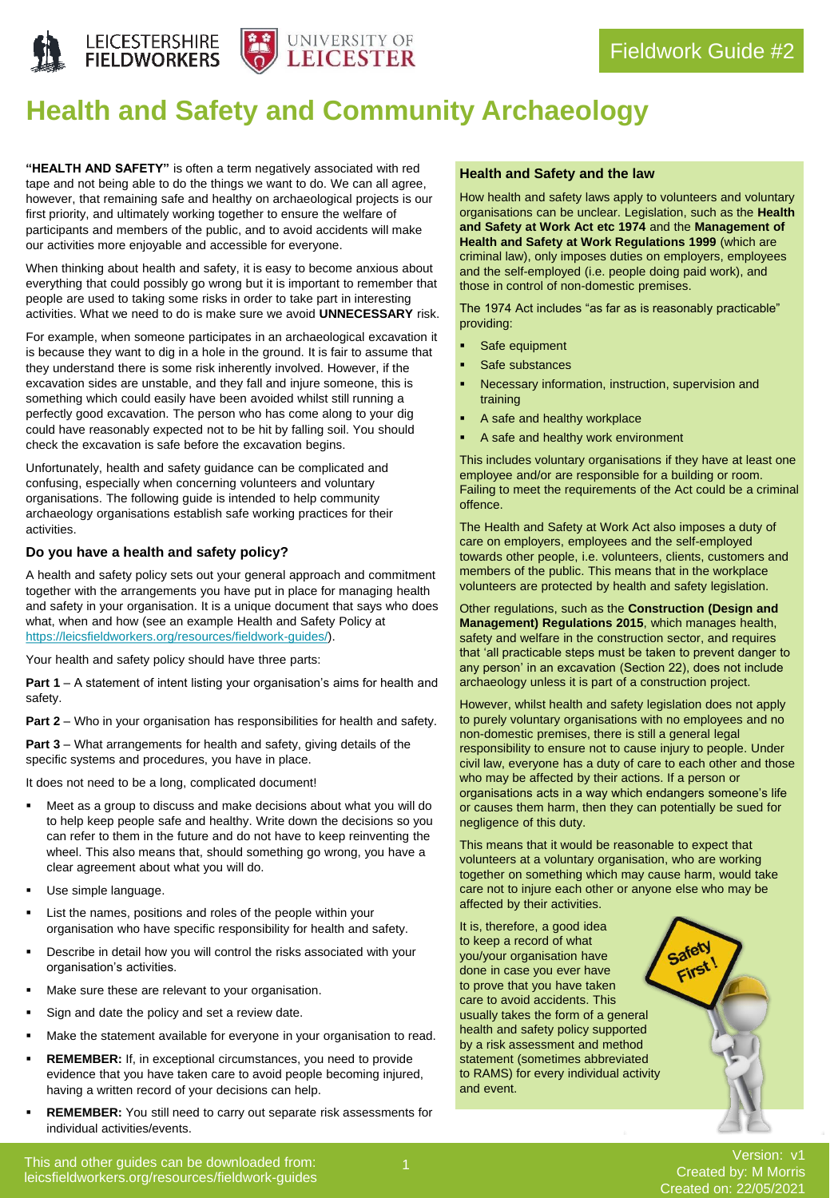



# **Health and Safety and Community Archaeology**

**"HEALTH AND SAFETY"** is often a term negatively associated with red tape and not being able to do the things we want to do. We can all agree, however, that remaining safe and healthy on archaeological projects is our first priority, and ultimately working together to ensure the welfare of participants and members of the public, and to avoid accidents will make our activities more enjoyable and accessible for everyone.

When thinking about health and safety, it is easy to become anxious about everything that could possibly go wrong but it is important to remember that people are used to taking some risks in order to take part in interesting activities. What we need to do is make sure we avoid **UNNECESSARY** risk.

For example, when someone participates in an archaeological excavation it is because they want to dig in a hole in the ground. It is fair to assume that they understand there is some risk inherently involved. However, if the excavation sides are unstable, and they fall and injure someone, this is something which could easily have been avoided whilst still running a perfectly good excavation. The person who has come along to your dig could have reasonably expected not to be hit by falling soil. You should check the excavation is safe before the excavation begins.

Unfortunately, health and safety guidance can be complicated and confusing, especially when concerning volunteers and voluntary organisations. The following guide is intended to help community archaeology organisations establish safe working practices for their activities.

### **Do you have a health and safety policy?**

A health and safety policy sets out your general approach and commitment together with the arrangements you have put in place for managing health and safety in your organisation. It is a unique document that says who does what, when and how (see an example Health and Safety Policy at [https://leicsfieldworkers.org/resources/fieldwork-guides/\)](https://leicsfieldworkers.org/resources/fieldwork-guides/).

Your health and safety policy should have three parts:

**Part 1** – A statement of intent listing your organisation's aims for health and safety.

**Part 2** – Who in your organisation has responsibilities for health and safety.

**Part 3** – What arrangements for health and safety, giving details of the specific systems and procedures, you have in place.

It does not need to be a long, complicated document!

- Meet as a group to discuss and make decisions about what you will do to help keep people safe and healthy. Write down the decisions so you can refer to them in the future and do not have to keep reinventing the wheel. This also means that, should something go wrong, you have a clear agreement about what you will do.
- Use simple language.
- List the names, positions and roles of the people within your organisation who have specific responsibility for health and safety.
- Describe in detail how you will control the risks associated with your organisation's activities.
- Make sure these are relevant to your organisation.
- Sign and date the policy and set a review date.
- Make the statement available for everyone in your organisation to read.
- **REMEMBER:** If, in exceptional circumstances, you need to provide evidence that you have taken care to avoid people becoming injured, having a written record of your decisions can help.
- **REMEMBER:** You still need to carry out separate risk assessments for individual activities/events.

### **Health and Safety and the law**

How health and safety laws apply to volunteers and voluntary organisations can be unclear. Legislation, such as the **Health and Safety at Work Act etc 1974** and the **Management of Health and Safety at Work Regulations 1999** (which are criminal law), only imposes duties on employers, employees and the self-employed (i.e. people doing paid work), and those in control of non-domestic premises.

The 1974 Act includes "as far as is reasonably practicable" providing:

- Safe equipment
- Safe substances
- Necessary information, instruction, supervision and training
- A safe and healthy workplace
- A safe and healthy work environment

This includes voluntary organisations if they have at least one employee and/or are responsible for a building or room. Failing to meet the requirements of the Act could be a criminal offence.

The Health and Safety at Work Act also imposes a duty of care on employers, employees and the self-employed towards other people, i.e. volunteers, clients, customers and members of the public. This means that in the workplace volunteers are protected by health and safety legislation.

Other regulations, such as the **Construction (Design and Management) Regulations 2015**, which manages health, safety and welfare in the construction sector, and requires that 'all practicable steps must be taken to prevent danger to any person' in an excavation (Section 22), does not include archaeology unless it is part of a construction project.

However, whilst health and safety legislation does not apply to purely voluntary organisations with no employees and no non-domestic premises, there is still a general legal responsibility to ensure not to cause injury to people. Under civil law, everyone has a duty of care to each other and those who may be affected by their actions. If a person or organisations acts in a way which endangers someone's life or causes them harm, then they can potentially be sued for negligence of this duty.

This means that it would be reasonable to expect that volunteers at a voluntary organisation, who are working together on something which may cause harm, would take care not to injure each other or anyone else who may be affected by their activities.

> Safety First!

It is, therefore, a good idea to keep a record of what you/your organisation have done in case you ever have to prove that you have taken care to avoid accidents. This usually takes the form of a general health and safety policy supported by a risk assessment and method statement (sometimes abbreviated to RAMS) for every individual activity and event.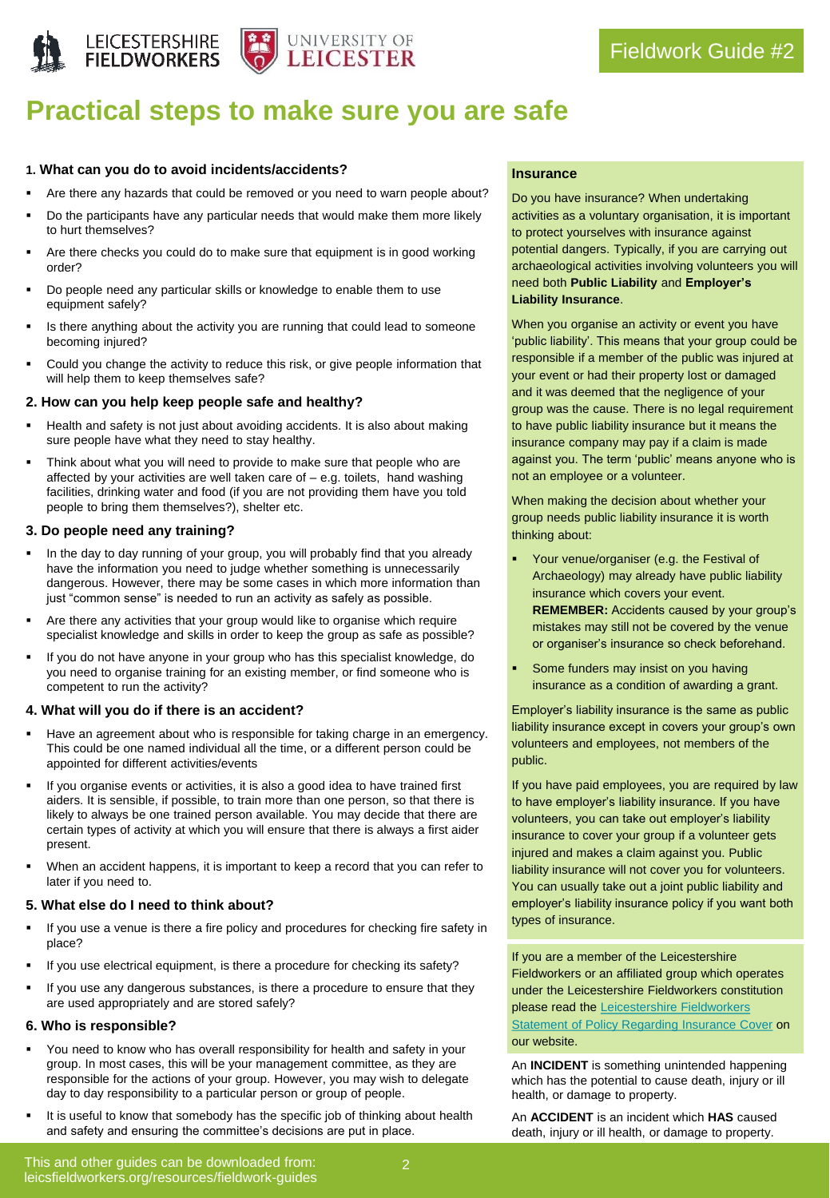



## **Practical steps to make sure you are safe**

### **1. What can you do to avoid incidents/accidents?**

- Are there any hazards that could be removed or you need to warn people about?
- Do the participants have any particular needs that would make them more likely to hurt themselves?
- Are there checks you could do to make sure that equipment is in good working order?
- Do people need any particular skills or knowledge to enable them to use equipment safely?
- Is there anything about the activity you are running that could lead to someone becoming injured?
- Could you change the activity to reduce this risk, or give people information that will help them to keep themselves safe?

### **2. How can you help keep people safe and healthy?**

- Health and safety is not just about avoiding accidents. It is also about making sure people have what they need to stay healthy.
- Think about what you will need to provide to make sure that people who are affected by your activities are well taken care of – e.g. toilets, hand washing facilities, drinking water and food (if you are not providing them have you told people to bring them themselves?), shelter etc.

### **3. Do people need any training?**

- In the day to day running of your group, you will probably find that you already have the information you need to judge whether something is unnecessarily dangerous. However, there may be some cases in which more information than just "common sense" is needed to run an activity as safely as possible.
- Are there any activities that your group would like to organise which require specialist knowledge and skills in order to keep the group as safe as possible?
- If you do not have anyone in your group who has this specialist knowledge, do you need to organise training for an existing member, or find someone who is competent to run the activity?

### **4. What will you do if there is an accident?**

- Have an agreement about who is responsible for taking charge in an emergency. This could be one named individual all the time, or a different person could be appointed for different activities/events
- If you organise events or activities, it is also a good idea to have trained first aiders. It is sensible, if possible, to train more than one person, so that there is likely to always be one trained person available. You may decide that there are certain types of activity at which you will ensure that there is always a first aider present.
- When an accident happens, it is important to keep a record that you can refer to later if you need to.

### **5. What else do I need to think about?**

- If you use a venue is there a fire policy and procedures for checking fire safety in place?
- If you use electrical equipment, is there a procedure for checking its safety?
- If you use any dangerous substances, is there a procedure to ensure that they are used appropriately and are stored safely?

### **6. Who is responsible?**

- You need to know who has overall responsibility for health and safety in your group. In most cases, this will be your management committee, as they are responsible for the actions of your group. However, you may wish to delegate day to day responsibility to a particular person or group of people.
- It is useful to know that somebody has the specific job of thinking about health and safety and ensuring the committee's decisions are put in place.

### **Insurance**

Do you have insurance? When undertaking activities as a voluntary organisation, it is important to protect yourselves with insurance against potential dangers. Typically, if you are carrying out archaeological activities involving volunteers you will need both **Public Liability** and **Employer's Liability Insurance**.

When you organise an activity or event you have 'public liability'. This means that your group could be responsible if a member of the public was injured at your event or had their property lost or damaged and it was deemed that the negligence of your group was the cause. There is no legal requirement to have public liability insurance but it means the insurance company may pay if a claim is made against you. The term 'public' means anyone who is not an employee or a volunteer.

When making the decision about whether your group needs public liability insurance it is worth thinking about:

- Your venue/organiser (e.g. the Festival of Archaeology) may already have public liability insurance which covers your event. **REMEMBER:** Accidents caused by your group's mistakes may still not be covered by the venue or organiser's insurance so check beforehand.
- Some funders may insist on you having insurance as a condition of awarding a grant.

Employer's liability insurance is the same as public liability insurance except in covers your group's own volunteers and employees, not members of the public.

If you have paid employees, you are required by law to have employer's liability insurance. If you have volunteers, you can take out employer's liability insurance to cover your group if a volunteer gets injured and makes a claim against you. Public liability insurance will not cover you for volunteers. You can usually take out a joint public liability and employer's liability insurance policy if you want both types of insurance.

If you are a member of the Leicestershire Fieldworkers or an affiliated group which operates under the Leicestershire Fieldworkers constitution please read the Leicestershire Fieldworkers **[Statement of Policy Regarding Insurance Cover](https://leicsfieldworkers.files.wordpress.com/2021/03/lf-statement-of-insurance-policy.pdf) on** our website.

An **INCIDENT** is something unintended happening which has the potential to cause death, injury or ill health, or damage to property.

An **ACCIDENT** is an incident which **HAS** caused death, injury or ill health, or damage to property.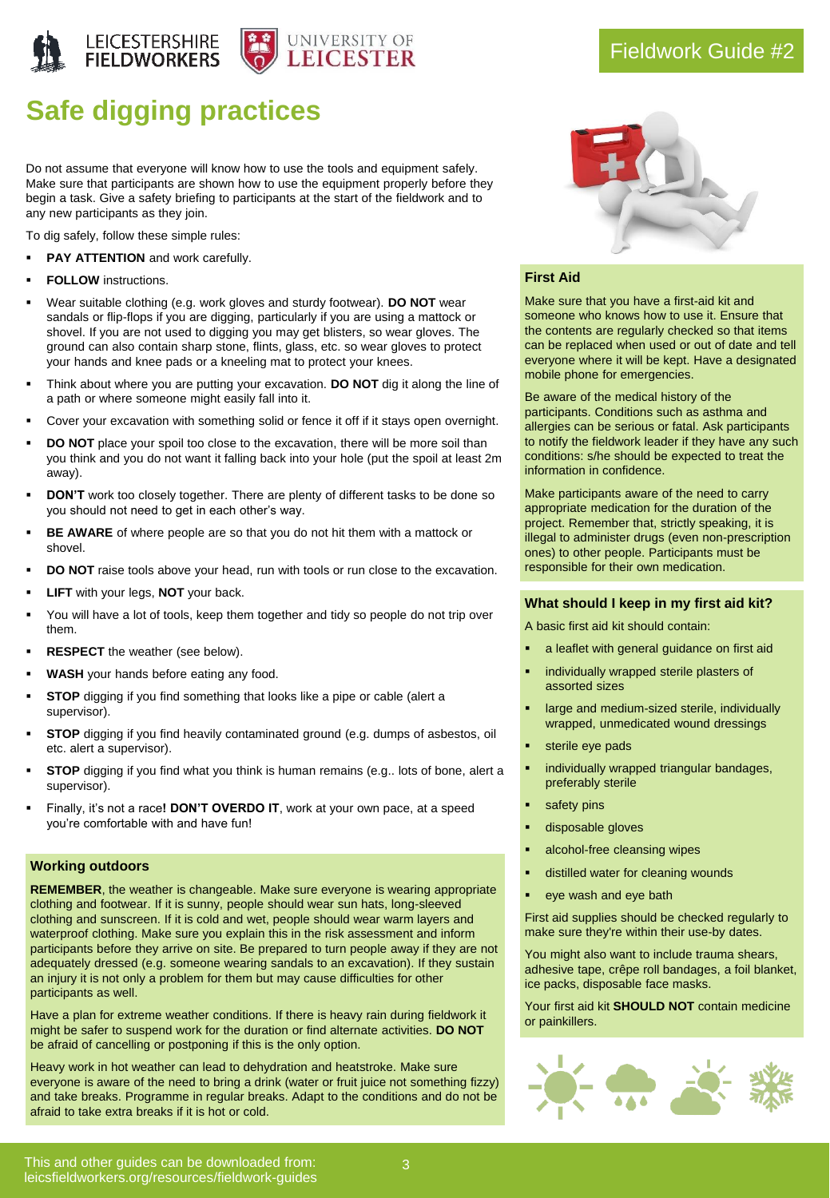

# **Safe digging practices**

Do not assume that everyone will know how to use the tools and equipment safely. Make sure that participants are shown how to use the equipment properly before they begin a task. Give a safety briefing to participants at the start of the fieldwork and to any new participants as they join.

To dig safely, follow these simple rules:

- **PAY ATTENTION** and work carefully.
- **FOLLOW** instructions.
- Wear suitable clothing (e.g. work gloves and sturdy footwear). **DO NOT** wear sandals or flip-flops if you are digging, particularly if you are using a mattock or shovel. If you are not used to digging you may get blisters, so wear gloves. The ground can also contain sharp stone, flints, glass, etc. so wear gloves to protect your hands and knee pads or a kneeling mat to protect your knees.
- Think about where you are putting your excavation. **DO NOT** dig it along the line of a path or where someone might easily fall into it.
- Cover your excavation with something solid or fence it off if it stays open overnight.
- **DO NOT** place your spoil too close to the excavation, there will be more soil than you think and you do not want it falling back into your hole (put the spoil at least 2m away).
- **DON'T** work too closely together. There are plenty of different tasks to be done so you should not need to get in each other's way.
- BE AWARE of where people are so that you do not hit them with a mattock or shovel.
- **DO NOT** raise tools above your head, run with tools or run close to the excavation.
- **LIFT** with your legs, **NOT** your back.
- You will have a lot of tools, keep them together and tidy so people do not trip over them.
- **RESPECT** the weather (see below).
- **WASH** your hands before eating any food.
- **STOP** digging if you find something that looks like a pipe or cable (alert a supervisor).
- **STOP** digging if you find heavily contaminated ground (e.g. dumps of asbestos, oil etc. alert a supervisor).
- **STOP** digging if you find what you think is human remains (e.g., lots of bone, alert a supervisor).
- Finally, it's not a race! DON'T OVERDO IT, work at your own pace, at a speed you're comfortable with and have fun!

#### **Working outdoors**

**REMEMBER**, the weather is changeable. Make sure everyone is wearing appropriate clothing and footwear. If it is sunny, people should wear sun hats, long-sleeved clothing and sunscreen. If it is cold and wet, people should wear warm layers and waterproof clothing. Make sure you explain this in the risk assessment and inform participants before they arrive on site. Be prepared to turn people away if they are not adequately dressed (e.g. someone wearing sandals to an excavation). If they sustain an injury it is not only a problem for them but may cause difficulties for other participants as well.

Have a plan for extreme weather conditions. If there is heavy rain during fieldwork it might be safer to suspend work for the duration or find alternate activities. **DO NOT** be afraid of cancelling or postponing if this is the only option.

Heavy work in hot weather can lead to dehydration and heatstroke. Make sure everyone is aware of the need to bring a drink (water or fruit juice not something fizzy) and take breaks. Programme in regular breaks. Adapt to the conditions and do not be afraid to take extra breaks if it is hot or cold.



### **First Aid**

Make sure that you have a first-aid kit and someone who knows how to use it. Ensure that the contents are regularly checked so that items can be replaced when used or out of date and tell everyone where it will be kept. Have a designated mobile phone for emergencies.

Be aware of the medical history of the participants. Conditions such as asthma and allergies can be serious or fatal. Ask participants to notify the fieldwork leader if they have any such conditions: s/he should be expected to treat the information in confidence.

Make participants aware of the need to carry appropriate medication for the duration of the project. Remember that, strictly speaking, it is illegal to administer drugs (even non-prescription ones) to other people. Participants must be responsible for their own medication.

### **What should I keep in my first aid kit?**

A basic first aid kit should contain:

- a leaflet with general guidance on first aid
- individually wrapped sterile plasters of assorted sizes
- large and medium-sized sterile, individually wrapped, unmedicated wound dressings
- sterile eye pads
- individually wrapped triangular bandages, preferably sterile
- safety pins
- disposable gloves
- alcohol-free cleansing wipes
- distilled water for cleaning wounds
- eye wash and eye bath

First aid supplies should be checked regularly to make sure they're within their use-by dates.

You might also want to include trauma shears, adhesive tape, crêpe roll bandages, a foil blanket, ice packs, disposable face masks.

Your first aid kit **SHOULD NOT** contain medicine or painkillers.

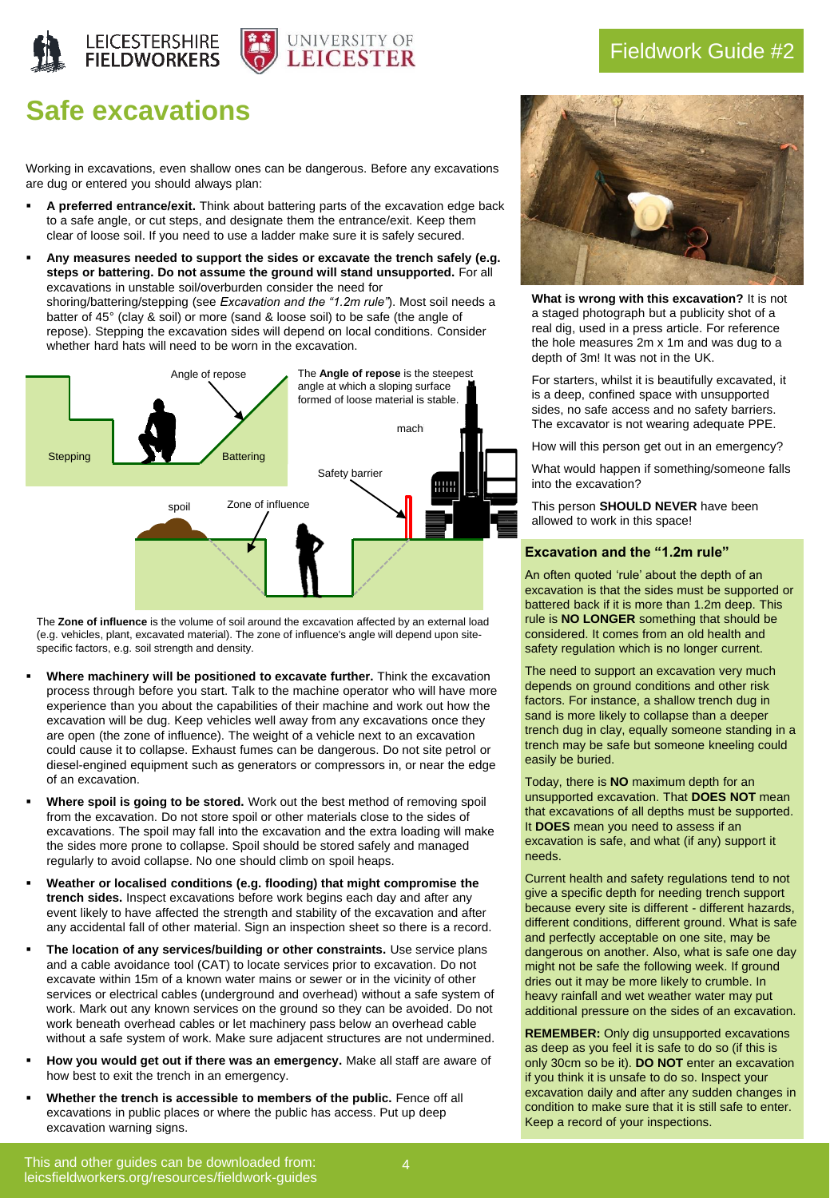



### Fieldwork Guide #2

## **Safe excavations**

Working in excavations, even shallow ones can be dangerous. Before any excavations are dug or entered you should always plan:

- A preferred entrance/exit. Think about battering parts of the excavation edge back to a safe angle, or cut steps, and designate them the entrance/exit. Keep them clear of loose soil. If you need to use a ladder make sure it is safely secured.
- Any measures needed to support the sides or excavate the trench safely (e.g. **steps or battering. Do not assume the ground will stand unsupported.** For all excavations in unstable soil/overburden consider the need for shoring/battering/stepping (see *Excavation and the "1.2m rule"*). Most soil needs a batter of 45° (clay & soil) or more (sand & loose soil) to be safe (the angle of repose). Stepping the excavation sides will depend on local conditions. Consider whether hard hats will need to be worn in the excavation.



The **Zone of influence** is the volume of soil around the excavation affected by an external load (e.g. vehicles, plant, excavated material). The zone of influence's angle will depend upon sitespecific factors, e.g. soil strength and density.

- Where machinery will be positioned to excavate further. Think the excavation process through before you start. Talk to the machine operator who will have more experience than you about the capabilities of their machine and work out how the excavation will be dug. Keep vehicles well away from any excavations once they are open (the zone of influence). The weight of a vehicle next to an excavation could cause it to collapse. Exhaust fumes can be dangerous. Do not site petrol or diesel-engined equipment such as generators or compressors in, or near the edge of an excavation.
- Where spoil is going to be stored. Work out the best method of removing spoil from the excavation. Do not store spoil or other materials close to the sides of excavations. The spoil may fall into the excavation and the extra loading will make the sides more prone to collapse. Spoil should be stored safely and managed regularly to avoid collapse. No one should climb on spoil heaps.
- Weather or localised conditions (e.g. flooding) that might compromise the **trench sides.** Inspect excavations before work begins each day and after any event likely to have affected the strength and stability of the excavation and after any accidental fall of other material. Sign an inspection sheet so there is a record.
- The location of any services/building or other constraints. Use service plans and a cable avoidance tool (CAT) to locate services prior to excavation. Do not excavate within 15m of a known water mains or sewer or in the vicinity of other services or electrical cables (underground and overhead) without a safe system of work. Mark out any known services on the ground so they can be avoided. Do not work beneath overhead cables or let machinery pass below an overhead cable without a safe system of work. Make sure adjacent structures are not undermined.
- How you would get out if there was an emergency. Make all staff are aware of how best to exit the trench in an emergency.
- **Whether the trench is accessible to members of the public.** Fence off all excavations in public places or where the public has access. Put up deep excavation warning signs.



**What is wrong with this excavation?** It is not a staged photograph but a publicity shot of a real dig, used in a press article. For reference the hole measures 2m x 1m and was dug to a depth of 3m! It was not in the UK.

For starters, whilst it is beautifully excavated, it is a deep, confined space with unsupported sides, no safe access and no safety barriers. The excavator is not wearing adequate PPE.

How will this person get out in an emergency?

What would happen if something/someone falls into the excavation?

This person **SHOULD NEVER** have been allowed to work in this space!

### **Excavation and the "1.2m rule"**

An often quoted 'rule' about the depth of an excavation is that the sides must be supported or battered back if it is more than 1.2m deep. This rule is **NO LONGER** something that should be considered. It comes from an old health and safety regulation which is no longer current.

The need to support an excavation very much depends on ground conditions and other risk factors. For instance, a shallow trench dug in sand is more likely to collapse than a deeper trench dug in clay, equally someone standing in a trench may be safe but someone kneeling could easily be buried.

Today, there is **NO** maximum depth for an unsupported excavation. That **DOES NOT** mean that excavations of all depths must be supported. It **DOES** mean you need to assess if an excavation is safe, and what (if any) support it needs.

Current health and safety regulations tend to not give a specific depth for needing trench support because every site is different - different hazards, different conditions, different ground. What is safe and perfectly acceptable on one site, may be dangerous on another. Also, what is safe one day might not be safe the following week. If ground dries out it may be more likely to crumble. In heavy rainfall and wet weather water may put additional pressure on the sides of an excavation.

**REMEMBER:** Only dig unsupported excavations as deep as you feel it is safe to do so (if this is only 30cm so be it). **DO NOT** enter an excavation if you think it is unsafe to do so. Inspect your excavation daily and after any sudden changes in condition to make sure that it is still safe to enter. Keep a record of your inspections.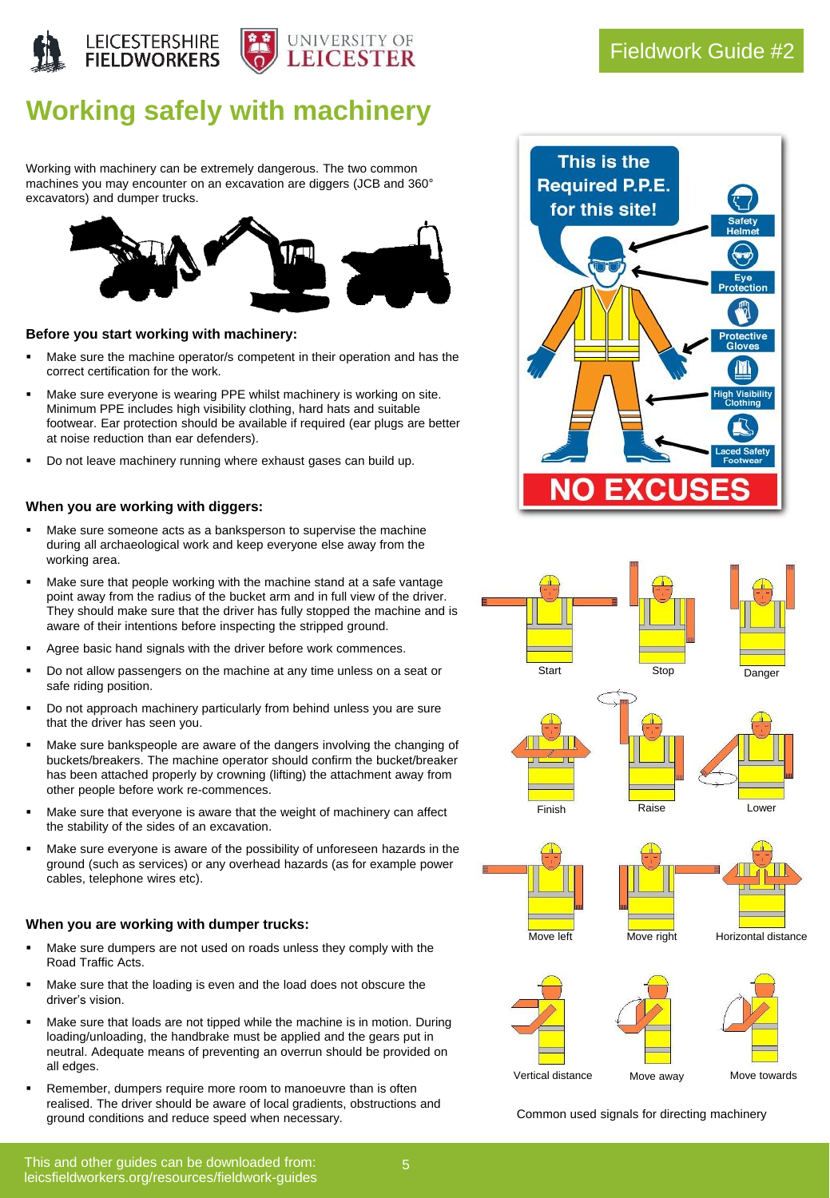

## **Working safely with machinery**

Working with machinery can be extremely dangerous. The two common machines you may encounter on an excavation are diggers (JCB and 360° excavators) and dumper trucks.



### **Before you start working with machinery:**

- Make sure the machine operator/s competent in their operation and has the correct certification for the work.
- Make sure everyone is wearing PPE whilst machinery is working on site. Minimum PPE includes high visibility clothing, hard hats and suitable footwear. Ear protection should be available if required (ear plugs are better at noise reduction than ear defenders).
- Do not leave machinery running where exhaust gases can build up.

### **When you are working with diggers:**

- Make sure someone acts as a banksperson to supervise the machine during all archaeological work and keep everyone else away from the working area.
- Make sure that people working with the machine stand at a safe vantage point away from the radius of the bucket arm and in full view of the driver. They should make sure that the driver has fully stopped the machine and is aware of their intentions before inspecting the stripped ground.
- Agree basic hand signals with the driver before work commences.
- Do not allow passengers on the machine at any time unless on a seat or safe riding position.
- Do not approach machinery particularly from behind unless you are sure that the driver has seen you.
- Make sure bankspeople are aware of the dangers involving the changing of buckets/breakers. The machine operator should confirm the bucket/breaker has been attached properly by crowning (lifting) the attachment away from other people before work re-commences.
- Make sure that everyone is aware that the weight of machinery can affect the stability of the sides of an excavation.
- Make sure everyone is aware of the possibility of unforeseen hazards in the ground (such as services) or any overhead hazards (as for example power cables, telephone wires etc).

### **When you are working with dumper trucks:**

- Make sure dumpers are not used on roads unless they comply with the Road Traffic Acts.
- Make sure that the loading is even and the load does not obscure the driver's vision.
- Make sure that loads are not tipped while the machine is in motion. During loading/unloading, the handbrake must be applied and the gears put in neutral. Adequate means of preventing an overrun should be provided on all edges.
- Remember, dumpers require more room to manoeuvre than is often realised. The driver should be aware of local gradients, obstructions and ground conditions and reduce speed when necessary.





Common used signals for directing machinery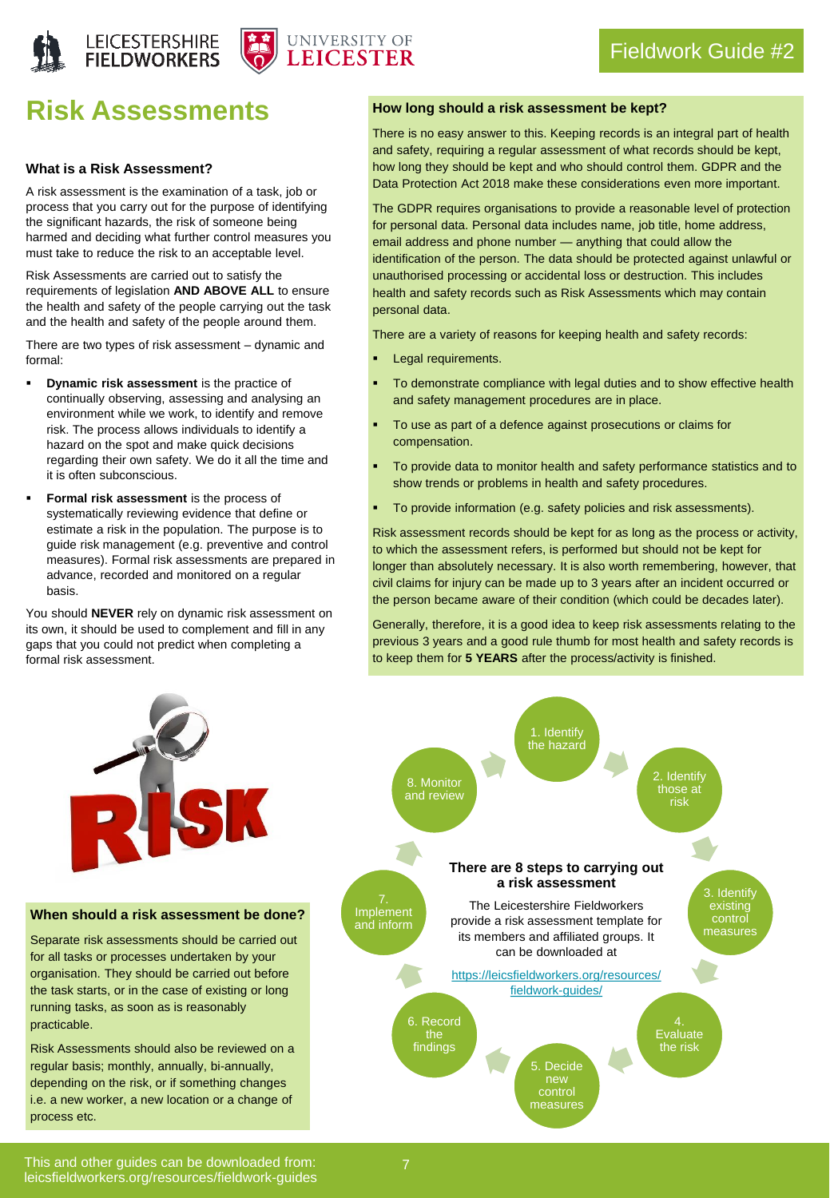



## **Risk Assessments**

### **What is a Risk Assessment?**

A risk assessment is the examination of a task, job or process that you carry out for the purpose of identifying the significant hazards, the risk of someone being harmed and deciding what further control measures you must take to reduce the risk to an acceptable level.

Risk Assessments are carried out to satisfy the requirements of legislation **AND ABOVE ALL** to ensure the health and safety of the people carrying out the task and the health and safety of the people around them.

There are two types of risk assessment – dynamic and formal:

- **Dynamic risk assessment** is the practice of continually observing, assessing and analysing an environment while we work, to identify and remove risk. The process allows individuals to identify a hazard on the spot and make quick decisions regarding their own safety. We do it all the time and it is often subconscious.
- **Formal risk assessment** is the process of systematically reviewing evidence that define or estimate a risk in the population. The purpose is to guide risk management (e.g. preventive and control measures). Formal risk assessments are prepared in advance, recorded and monitored on a regular basis.

You should **NEVER** rely on dynamic risk assessment on its own, it should be used to complement and fill in any gaps that you could not predict when completing a formal risk assessment.

### **How long should a risk assessment be kept?**

There is no easy answer to this. Keeping records is an integral part of health and safety, requiring a regular assessment of what records should be kept, how long they should be kept and who should control them. GDPR and the Data Protection Act 2018 make these considerations even more important.

The GDPR requires organisations to provide a reasonable level of protection for personal data. Personal data includes name, job title, home address, email address and phone number — anything that could allow the identification of the person. The data should be protected against unlawful or unauthorised processing or accidental loss or destruction. This includes health and safety records such as Risk Assessments which may contain personal data.

There are a variety of reasons for keeping health and safety records:

- Legal requirements.
- To demonstrate compliance with legal duties and to show effective health and safety management procedures are in place.
- To use as part of a defence against prosecutions or claims for compensation.
- To provide data to monitor health and safety performance statistics and to show trends or problems in health and safety procedures.
- To provide information (e.g. safety policies and risk assessments).

Risk assessment records should be kept for as long as the process or activity, to which the assessment refers, is performed but should not be kept for longer than absolutely necessary. It is also worth remembering, however, that civil claims for injury can be made up to 3 years after an incident occurred or the person became aware of their condition (which could be decades later).

Generally, therefore, it is a good idea to keep risk assessments relating to the previous 3 years and a good rule thumb for most health and safety records is to keep them for **5 YEARS** after the process/activity is finished.



**When should a risk assessment be done?**

Separate risk assessments should be carried out for all tasks or processes undertaken by your organisation. They should be carried out before the task starts, or in the case of existing or long running tasks, as soon as is reasonably practicable.

Risk Assessments should also be reviewed on a regular basis; monthly, annually, bi-annually, depending on the risk, or if something changes i.e. a new worker, a new location or a change of process etc.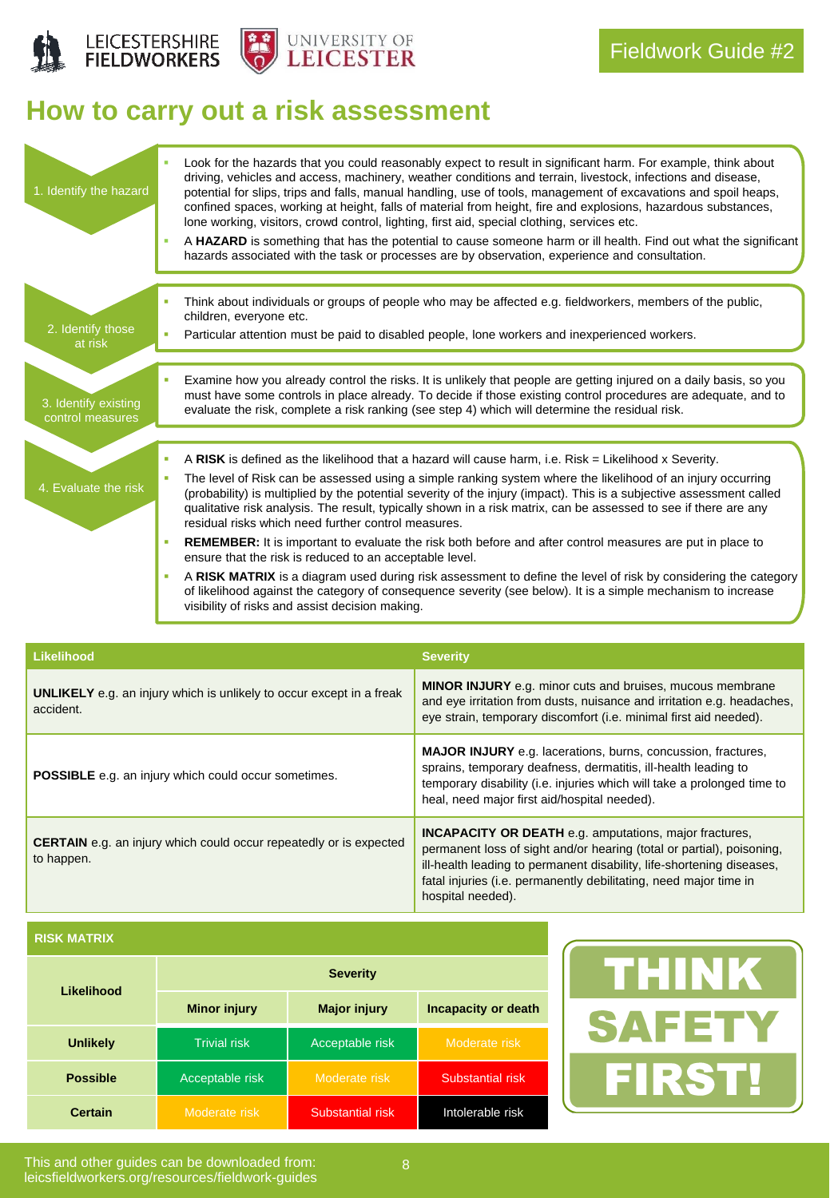



# **How to carry out a risk assessment**

| 1. Identify the hazard                   | Look for the hazards that you could reasonably expect to result in significant harm. For example, think about<br>driving, vehicles and access, machinery, weather conditions and terrain, livestock, infections and disease,<br>potential for slips, trips and falls, manual handling, use of tools, management of excavations and spoil heaps,<br>confined spaces, working at height, falls of material from height, fire and explosions, hazardous substances,<br>lone working, visitors, crowd control, lighting, first aid, special clothing, services etc.<br>A HAZARD is something that has the potential to cause someone harm or ill health. Find out what the significant<br>hazards associated with the task or processes are by observation, experience and consultation.                                                                                                                                                                                                             |
|------------------------------------------|--------------------------------------------------------------------------------------------------------------------------------------------------------------------------------------------------------------------------------------------------------------------------------------------------------------------------------------------------------------------------------------------------------------------------------------------------------------------------------------------------------------------------------------------------------------------------------------------------------------------------------------------------------------------------------------------------------------------------------------------------------------------------------------------------------------------------------------------------------------------------------------------------------------------------------------------------------------------------------------------------|
| 2. Identify those<br>at risk             | Think about individuals or groups of people who may be affected e.g. fieldworkers, members of the public,<br>children, everyone etc.<br>Particular attention must be paid to disabled people, lone workers and inexperienced workers.                                                                                                                                                                                                                                                                                                                                                                                                                                                                                                                                                                                                                                                                                                                                                            |
| 3. Identify existing<br>control measures | Examine how you already control the risks. It is unlikely that people are getting injured on a daily basis, so you<br>must have some controls in place already. To decide if those existing control procedures are adequate, and to<br>evaluate the risk, complete a risk ranking (see step 4) which will determine the residual risk.                                                                                                                                                                                                                                                                                                                                                                                                                                                                                                                                                                                                                                                           |
| 4. Evaluate the risk                     | A RISK is defined as the likelihood that a hazard will cause harm, i.e. Risk = Likelihood x Severity.<br>The level of Risk can be assessed using a simple ranking system where the likelihood of an injury occurring<br>(probability) is multiplied by the potential severity of the injury (impact). This is a subjective assessment called<br>qualitative risk analysis. The result, typically shown in a risk matrix, can be assessed to see if there are any<br>residual risks which need further control measures.<br><b>REMEMBER:</b> It is important to evaluate the risk both before and after control measures are put in place to<br>ensure that the risk is reduced to an acceptable level.<br>A RISK MATRIX is a diagram used during risk assessment to define the level of risk by considering the category<br>×<br>of likelihood against the category of consequence severity (see below). It is a simple mechanism to increase<br>visibility of risks and assist decision making. |

| <b>Likelihood</b>                                                                        | <b>Severity</b>                                                                                                                                                                                                                                                                                           |
|------------------------------------------------------------------------------------------|-----------------------------------------------------------------------------------------------------------------------------------------------------------------------------------------------------------------------------------------------------------------------------------------------------------|
| <b>UNLIKELY</b> e.g. an injury which is unlikely to occur except in a freak<br>accident. | <b>MINOR INJURY</b> e.g. minor cuts and bruises, mucous membrane<br>and eye irritation from dusts, nuisance and irritation e.g. headaches,<br>eye strain, temporary discomfort (i.e. minimal first aid needed).                                                                                           |
| <b>POSSIBLE</b> e.g. an injury which could occur sometimes.                              | <b>MAJOR INJURY</b> e.g. lacerations, burns, concussion, fractures,<br>sprains, temporary deafness, dermatitis, ill-health leading to<br>temporary disability (i.e. injuries which will take a prolonged time to<br>heal, need major first aid/hospital needed).                                          |
| <b>CERTAIN</b> e.g. an injury which could occur repeatedly or is expected<br>to happen.  | <b>INCAPACITY OR DEATH</b> e.g. amputations, major fractures,<br>permanent loss of sight and/or hearing (total or partial), poisoning,<br>ill-health leading to permanent disability, life-shortening diseases,<br>fatal injuries (i.e. permanently debilitating, need major time in<br>hospital needed). |

**RISK MATRIX**

| Likelihood      | <b>Severity</b>     |                     |                     |  |
|-----------------|---------------------|---------------------|---------------------|--|
|                 | <b>Minor injury</b> | <b>Major injury</b> | Incapacity or death |  |
| <b>Unlikely</b> | <b>Trivial risk</b> | Acceptable risk     | Moderate risk       |  |
| <b>Possible</b> | Acceptable risk     | Moderate risk       | Substantial risk    |  |
| <b>Certain</b>  | Moderate risk       | Substantial risk    | Intolerable risk    |  |

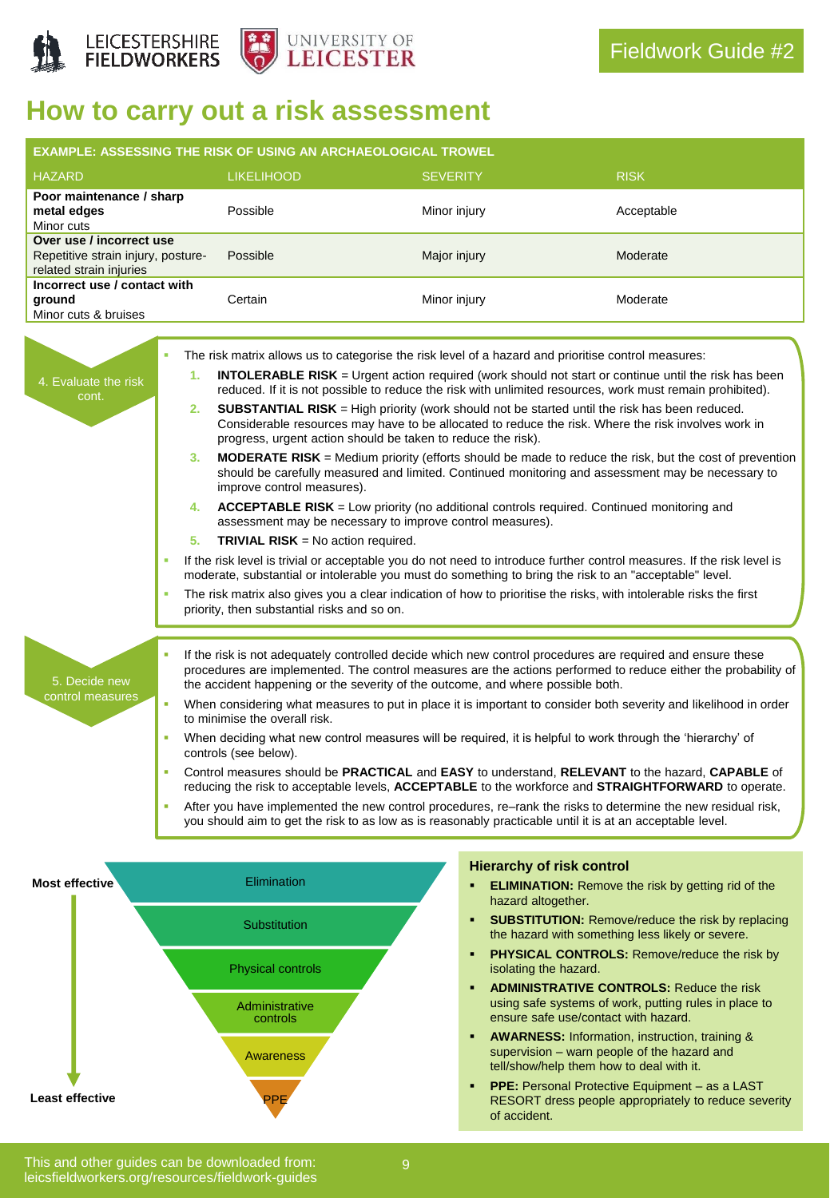

## **How to carry out a risk assessment**

|                                                                                                                                                                                                                                                                                                                                                                                                                                                                                                                                                                                                                                                                                                                                                                                                                                                                                                                                                                                                                                                                                              |                            | <b>EXAMPLE: ASSESSING THE RISK OF USING AN ARCHAEOLOGICAL TROWEL</b>                                                                                                                                                                                                                                                                                       |                    |                                                                                                                                                                                                                                                                                                                                                                                                                                                                                                                                                                                                                                                                                                                                                                                                                                                                                                                                                                                                                                                                                                                             |
|----------------------------------------------------------------------------------------------------------------------------------------------------------------------------------------------------------------------------------------------------------------------------------------------------------------------------------------------------------------------------------------------------------------------------------------------------------------------------------------------------------------------------------------------------------------------------------------------------------------------------------------------------------------------------------------------------------------------------------------------------------------------------------------------------------------------------------------------------------------------------------------------------------------------------------------------------------------------------------------------------------------------------------------------------------------------------------------------|----------------------------|------------------------------------------------------------------------------------------------------------------------------------------------------------------------------------------------------------------------------------------------------------------------------------------------------------------------------------------------------------|--------------------|-----------------------------------------------------------------------------------------------------------------------------------------------------------------------------------------------------------------------------------------------------------------------------------------------------------------------------------------------------------------------------------------------------------------------------------------------------------------------------------------------------------------------------------------------------------------------------------------------------------------------------------------------------------------------------------------------------------------------------------------------------------------------------------------------------------------------------------------------------------------------------------------------------------------------------------------------------------------------------------------------------------------------------------------------------------------------------------------------------------------------------|
| <b>HAZARD</b>                                                                                                                                                                                                                                                                                                                                                                                                                                                                                                                                                                                                                                                                                                                                                                                                                                                                                                                                                                                                                                                                                |                            | <b>LIKELIHOOD</b>                                                                                                                                                                                                                                                                                                                                          | <b>SEVERITY</b>    | <b>RISK</b>                                                                                                                                                                                                                                                                                                                                                                                                                                                                                                                                                                                                                                                                                                                                                                                                                                                                                                                                                                                                                                                                                                                 |
| Poor maintenance / sharp<br>metal edges<br>Minor cuts                                                                                                                                                                                                                                                                                                                                                                                                                                                                                                                                                                                                                                                                                                                                                                                                                                                                                                                                                                                                                                        |                            | Possible                                                                                                                                                                                                                                                                                                                                                   | Minor injury       | Acceptable                                                                                                                                                                                                                                                                                                                                                                                                                                                                                                                                                                                                                                                                                                                                                                                                                                                                                                                                                                                                                                                                                                                  |
| Over use / incorrect use<br>Repetitive strain injury, posture-<br>related strain injuries                                                                                                                                                                                                                                                                                                                                                                                                                                                                                                                                                                                                                                                                                                                                                                                                                                                                                                                                                                                                    |                            | Possible                                                                                                                                                                                                                                                                                                                                                   | Major injury       | Moderate                                                                                                                                                                                                                                                                                                                                                                                                                                                                                                                                                                                                                                                                                                                                                                                                                                                                                                                                                                                                                                                                                                                    |
| Incorrect use / contact with<br>ground<br>Minor cuts & bruises                                                                                                                                                                                                                                                                                                                                                                                                                                                                                                                                                                                                                                                                                                                                                                                                                                                                                                                                                                                                                               |                            | Certain                                                                                                                                                                                                                                                                                                                                                    | Minor injury       | Moderate                                                                                                                                                                                                                                                                                                                                                                                                                                                                                                                                                                                                                                                                                                                                                                                                                                                                                                                                                                                                                                                                                                                    |
| 4. Evaluate the risk<br>cont.                                                                                                                                                                                                                                                                                                                                                                                                                                                                                                                                                                                                                                                                                                                                                                                                                                                                                                                                                                                                                                                                | 1.<br>2.<br>3.<br>4.<br>5. | The risk matrix allows us to categorise the risk level of a hazard and prioritise control measures:<br>progress, urgent action should be taken to reduce the risk).<br>improve control measures).<br>assessment may be necessary to improve control measures).<br><b>TRIVIAL RISK</b> = No action required.<br>priority, then substantial risks and so on. |                    | <b>INTOLERABLE RISK</b> = Urgent action required (work should not start or continue until the risk has been<br>reduced. If it is not possible to reduce the risk with unlimited resources, work must remain prohibited).<br><b>SUBSTANTIAL RISK</b> = High priority (work should not be started until the risk has been reduced.<br>Considerable resources may have to be allocated to reduce the risk. Where the risk involves work in<br><b>MODERATE RISK</b> = Medium priority (efforts should be made to reduce the risk, but the cost of prevention<br>should be carefully measured and limited. Continued monitoring and assessment may be necessary to<br><b>ACCEPTABLE RISK</b> = Low priority (no additional controls required. Continued monitoring and<br>If the risk level is trivial or acceptable you do not need to introduce further control measures. If the risk level is<br>moderate, substantial or intolerable you must do something to bring the risk to an "acceptable" level.<br>The risk matrix also gives you a clear indication of how to prioritise the risks, with intolerable risks the first |
| If the risk is not adequately controlled decide which new control procedures are required and ensure these<br>procedures are implemented. The control measures are the actions performed to reduce either the probability of<br>5. Decide new<br>the accident happening or the severity of the outcome, and where possible both.<br>control measures<br>When considering what measures to put in place it is important to consider both severity and likelihood in order<br>to minimise the overall risk.<br>When deciding what new control measures will be required, it is helpful to work through the 'hierarchy' of<br>٠<br>controls (see below).<br>Control measures should be PRACTICAL and EASY to understand, RELEVANT to the hazard, CAPABLE of<br>reducing the risk to acceptable levels, ACCEPTABLE to the workforce and STRAIGHTFORWARD to operate.<br>After you have implemented the new control procedures, re-rank the risks to determine the new residual risk,<br>you should aim to get the risk to as low as is reasonably practicable until it is at an acceptable level. |                            |                                                                                                                                                                                                                                                                                                                                                            |                    |                                                                                                                                                                                                                                                                                                                                                                                                                                                                                                                                                                                                                                                                                                                                                                                                                                                                                                                                                                                                                                                                                                                             |
| <b>Most effective</b>                                                                                                                                                                                                                                                                                                                                                                                                                                                                                                                                                                                                                                                                                                                                                                                                                                                                                                                                                                                                                                                                        |                            | Elimination<br><b>Substitution</b><br><b>Physical controls</b>                                                                                                                                                                                                                                                                                             | hazard altogether. | <b>Hierarchy of risk control</b><br><b>ELIMINATION:</b> Remove the risk by getting rid of the<br><b>SUBSTITUTION:</b> Remove/reduce the risk by replacing<br>the hazard with something less likely or severe.<br><b>PHYSICAL CONTROLS:</b> Remove/reduce the risk by<br>isolating the hazard.<br><b>ADMINISTRATIVE CONTROLS: Reduce the risk</b>                                                                                                                                                                                                                                                                                                                                                                                                                                                                                                                                                                                                                                                                                                                                                                            |
|                                                                                                                                                                                                                                                                                                                                                                                                                                                                                                                                                                                                                                                                                                                                                                                                                                                                                                                                                                                                                                                                                              |                            | Administrative<br>controls                                                                                                                                                                                                                                                                                                                                 |                    | using safe systems of work, putting rules in place to<br>ensure safe use/contact with hazard.                                                                                                                                                                                                                                                                                                                                                                                                                                                                                                                                                                                                                                                                                                                                                                                                                                                                                                                                                                                                                               |

- **AWARNESS:** Information, instruction, training & supervision – warn people of the hazard and tell/show/help them how to deal with it.
- **PPE:** Personal Protective Equipment as a LAST RESORT dress people appropriately to reduce severity of accident.

**Least effective**

**Awareness** 

PPE